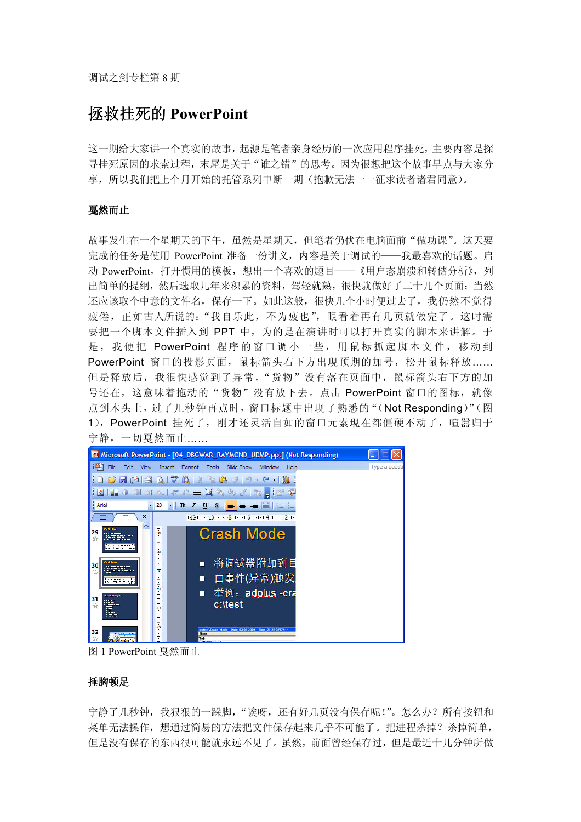# 拯救挂死的 PowerPoint

这一期给大家讲一个真实的故事,起源是笔者亲身经历的一次应用程序挂死,主要内容是探 寻挂死原因的求索过程,末尾是关于"谁之错"的思考。因为很想把这个故事早点与大家分 享,所以我们把上个月开始的托管系列中断一期(抱歉无法一一征求读者诸君同意)。

# 戛然而止

故事发生在一个星期天的下午,虽然是星期天,但笔者仍伏在电脑面前"做功课"。这天要 完成的任务是使用 PowerPoint 准备一份讲义,内容是关于调试的——我最喜欢的话题。启 动 PowerPoint, 打开惯用的模板, 想出一个喜欢的题目——《用户态崩溃和转储分析》, 列 出简单的提纲,然后选取几年来积累的资料,驾轻就熟,很快就做好了二十几个页面;当然 还应该取个中意的文件名,保存一下。如此这般,很快几个小时便过去了,我仍然不觉得 疲倦, 正如古人所说的: "我自乐此, 不为疲也", 眼看着再有几页就做完了。这时需 要把一个脚本文件插入到 PPT 中,为的是在演讲时可以打开真实的脚本来讲解。于 是, 我便把 PowerPoint 程序的窗口调小一些, 用鼠标抓起脚本文件, 移动到 PowerPoint 窗口的投影页面, 鼠标箭头右下方出现预期的加号, 松开鼠标释放…… 但是释放后,我很快感觉到了异常,"货物"没有落在页面中,鼠标箭头右下方的加 号还在,这意味着拖动的"货物"没有放下去。点击 PowerPoint 窗口的图标, 就像 点到木头上,过了几秒钟再点时,窗口标题中出现了熟悉的"(Not Responding)"(图 1),PowerPoint 挂死了,刚才还灵活自如的窗口元素现在都僵硬不动了,喧嚣归于 宁静,一切戛然而止……



图 1 PowerPoint 戛然而止

# 捶胸顿足

宁静了几秒钟,我狠狠的一跺脚,"诶呀,还有好几页没有保存呢!"。怎么办?所有按钮和 菜单无法操作,想通过简易的方法把文件保存起来几乎不可能了。把进程杀掉?杀掉简单, 但是没有保存的东西很可能就永远不见了。虽然,前面曾经保存过,但是最近十几分钟所做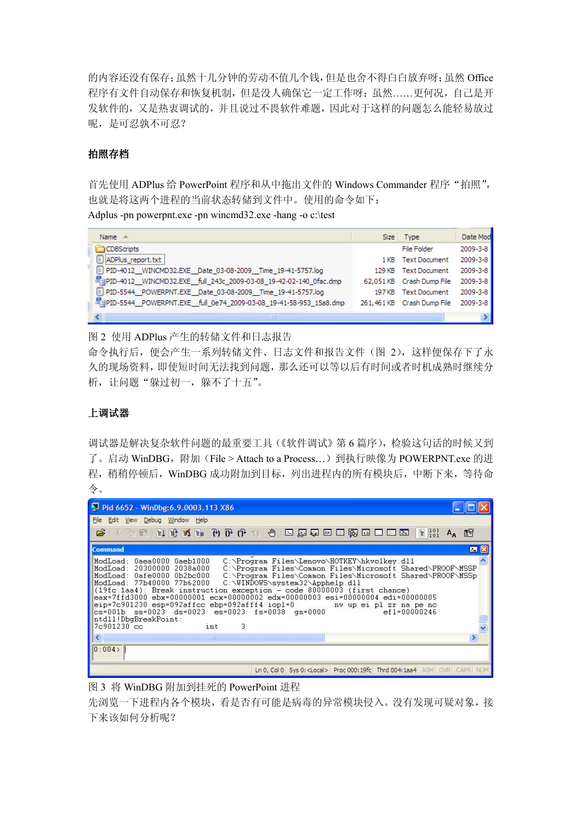的内容还没有保存;虽然十几分钟的劳动不值几个钱,但是也舍不得白白放弃呀;虽然 Office 程序有文件自动保存和恢复机制,但是没人确保它一定工作呀;虽然……更何况,自己是开 发软件的,又是热衷调试的,并且说过不畏软件难题,因此对于这样的问题怎么能轻易放过 呢,是可忍孰不可忍?

# 拍照存档

首先使用 ADPlus 给 PowerPoint 程序和从中拖出文件的 Windows Commander 程序"拍照", 也就是将这两个进程的当前状态转储到文件中。使用的命令如下:

Adplus -pn powerpnt.exe -pn wincmd32.exe -hang -o c:\test

| Name $\triangle$                                                    |        | Size Type                  | Date Mod |
|---------------------------------------------------------------------|--------|----------------------------|----------|
| <b>CDBScripts</b>                                                   |        | File Folder                | 2009-3-8 |
| ADPlus report.txt                                                   |        | 1 KB Text Document         | 2009-3-8 |
| PID-4012_WINCMD32.EXE_Date_03-08-2009_Time_19-41-5757.log           | 129 KB | <b>Text Document</b>       | 2009-3-8 |
| ## PID-4012_WINCMD32.EXE_full_243c_2009-03-08_19-42-02-140_0fac.dmp |        | 62.051 KB Crash Dump File  | 2009-3-8 |
| [E] PID-5544 POWERPNT.EXE Date 03-08-2009 Time 19-41-5757.log       |        | 197 KB Text Document       | 2009-3-8 |
| E PID-5544_POWERPNT.EXE_full_0e74_2009-03-08_19-41-58-953_15a8.dmp  |        | 261,461 KB Crash Dump File | 2009-3-8 |
| Ш                                                                   |        |                            |          |

图 2 使用 ADPlus 产生的转储文件和日志报告

命令执行后,便会产生一系列转储文件、日志文件和报告文件(图 2),这样便保存下了永 久的现场资料,即使短时间无法找到问题,那么还可以等以后有时间或者时机成熟时继续分 析, 让问题"躲过初一, 躲不了十五"。

# 上调试器

调试器是解决复杂软件问题的最重要工具(《软件调试》第6篇序),检验这句话的时候又到 了。启动 WinDBG,附加(File > Attach to a Process…)到执行映像为 POWERPNT.exe 的进 程,稍稍停顿后,WinDBG 成功附加到目标,列出进程内的所有模块后,中断下来,等待命 令。

| Pid 6652 - WinDbg:6.9.0003.113 X86                                                                                                                                                                                                                                                                                                                                                                                                                                                                                                                                                                                                                                                                                                                                                                                                                                                                                                                                                                                                            |  |  |  |  |  |
|-----------------------------------------------------------------------------------------------------------------------------------------------------------------------------------------------------------------------------------------------------------------------------------------------------------------------------------------------------------------------------------------------------------------------------------------------------------------------------------------------------------------------------------------------------------------------------------------------------------------------------------------------------------------------------------------------------------------------------------------------------------------------------------------------------------------------------------------------------------------------------------------------------------------------------------------------------------------------------------------------------------------------------------------------|--|--|--|--|--|
| File Edit View Debug Window Help                                                                                                                                                                                                                                                                                                                                                                                                                                                                                                                                                                                                                                                                                                                                                                                                                                                                                                                                                                                                              |  |  |  |  |  |
| - 太阳日 日津洋山 竹子(?-*) ① 口屎不回口面两四口口面 目:::: A, 图<br>œ                                                                                                                                                                                                                                                                                                                                                                                                                                                                                                                                                                                                                                                                                                                                                                                                                                                                                                                                                                                              |  |  |  |  |  |
| $\mathbb{Z}$ $\mathbb{R}$<br><b>Command</b>                                                                                                                                                                                                                                                                                                                                                                                                                                                                                                                                                                                                                                                                                                                                                                                                                                                                                                                                                                                                   |  |  |  |  |  |
| ModLoad: 0aea0000 0aeb1000<br>C:\Program Files\Lenovo\HOTKEY\hkvolkey.dll<br>C:\Program Files\Common Files\Microsoft Shared\PROOF\MSSP<br>ModLoad: 20300000 2038a000<br>ModLoad: 0afe0000 0b2bc000        C:\Program Files\Common Files\Microsoft Shared\PROOF\MSSp<br>ModLoad: 77b40000 77b62000                        C:\WINDOWS\system32\Apphelp.dll<br>$(19fc.1aa4)$ : Break instruction exception - code 80000003 (first chance)<br>$\frac{1}{1}$ eax=7ffd3000 ebx=00000001 ecx=00000002 edx=00000003 esi=00000004 edi=00000005<br>eip=7c901230 esp=092affcc ebp=092afff4 iopl=0 mv up ei pl zr na pe nc<br>${\sim}$ ${\sim}$ ${\sim}$ ${\sim}$ ${\sim}$ ${\sim}$ ${\sim}$ ${\sim}$ ${\sim}$ ${\sim}$ ${\sim}$ ${\sim}$ ${\sim}$ ${\sim}$ ${\sim}$ ${\sim}$ ${\sim}$ ${\sim}$ ${\sim}$ ${\sim}$ ${\sim}$ ${\sim}$ ${\sim}$ ${\sim}$ ${\sim}$ ${\sim}$ ${\sim}$ ${\sim}$ ${\sim}$ ${\sim}$ ${\sim}$ ${\sim}$ ${\sim}$ ${\sim}$ ${\sim}$ ${\sim}$ ${\sim}$<br>ntdll!DbgBreakPoint:<br>$17c901230$ $cc$<br>$\overline{\phantom{a}}$<br>int |  |  |  |  |  |
| $\vert\vert$ < $\vert$<br><b>THE</b><br>0:004>                                                                                                                                                                                                                                                                                                                                                                                                                                                                                                                                                                                                                                                                                                                                                                                                                                                                                                                                                                                                |  |  |  |  |  |
| Ln 0, Col 0   Sys 0: < Local> Proc 000:19fc Thrd 004:1aa4   ASM   OVR   CAPS   NUM                                                                                                                                                                                                                                                                                                                                                                                                                                                                                                                                                                                                                                                                                                                                                                                                                                                                                                                                                            |  |  |  |  |  |

图 3 将 WinDBG 附加到挂死的 PowerPoint 进程

先浏览一下进程内各个模块,看是否有可能是病毒的异常模块侵入。没有发现可疑对象,接 下来该如何分析呢?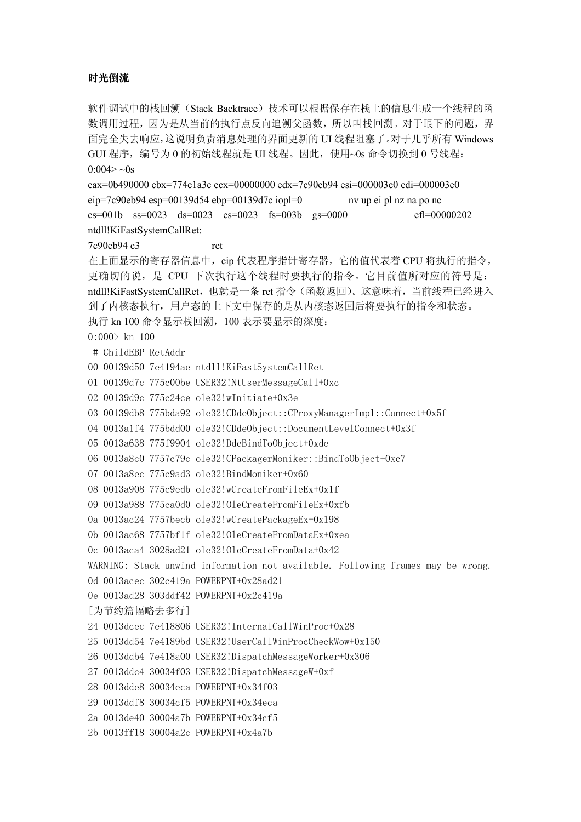# 时光倒流

软件调试中的栈回溯(Stack Backtrace)技术可以根据保存在栈上的信息生成一个线程的函 数调用过程,因为是从当前的执行点反向追溯父函数,所以叫栈回溯。对于眼下的问题,界 面完全失去响应,这说明负责消息处理的界面更新的 UI 线程阻塞了。对于几乎所有 Windows GUI 程序,编号为 0 的初始线程就是 UI 线程。因此,使用~0s 命令切换到 0 号线程:  $0:004 > -0s$ 

eax=0b490000 ebx=774e1a3c ecx=00000000 edx=7c90eb94 esi=000003e0 edi=000003e0 eip=7c90eb94 esp=00139d54 ebp=00139d7c iopl=0 nv up ei pl nz na po nc cs=001b ss=0023 ds=0023 es=0023 fs=003b gs=0000 efl=00000202 ntdll!KiFastSystemCallRet:

7c90eb94 c3 ret

在上面显示的寄存器信息中,eip 代表程序指针寄存器,它的值代表着 CPU 将执行的指令, 更确切的说,是 CPU 下次执行这个线程时要执行的指令。它目前值所对应的符号是: ntdll!KiFastSystemCallRet, 也就是一条 ret 指令(函数返回)。这意味着, 当前线程已经进入 到了内核态执行,用户态的上下文中保存的是从内核态返回后将要执行的指令和状态。 执行 kn 100 命令显示栈回溯,100 表示要显示的深度:  $0:000$  kn 100 # ChildEBP RetAddr 00 00139d50 7e4194ae ntdll!KiFastSystemCallRet

01 00139d7c 775c00be USER32!NtUserMessageCall+0xc

02 00139d9c 775c24ce ole32!wInitiate+0x3e

03 00139db8 775bda92 ole32!CDdeObject::CProxyManagerImpl::Connect+0x5f

04 0013a1f4 775bdd00 ole32!CDdeObject::DocumentLevelConnect+0x3f

05 0013a638 775f9904 ole32!DdeBindToObject+0xde

06 0013a8c0 7757c79c ole32!CPackagerMoniker::BindToObject+0xc7

- 07 0013a8ec 775c9ad3 ole32!BindMoniker+0x60
- 08 0013a908 775c9edb ole32!wCreateFromFileEx+0x1f

09 0013a988 775ca0d0 ole32!OleCreateFromFileEx+0xfb

0a 0013ac24 7757becb ole32!wCreatePackageEx+0x198

0b 0013ac68 7757bf1f ole32!OleCreateFromDataEx+0xea

0c 0013aca4 3028ad21 ole32!OleCreateFromData+0x42

WARNING: Stack unwind information not available. Following frames may be wrong.

```
0d 0013acec 302c419a POWERPNT+0x28ad21
```

```
0e 0013ad28 303ddf42 POWERPNT+0x2c419a
```
[为节约篇幅略去多行]

```
24 0013dcec 7e418806 USER32!InternalCallWinProc+0x28
```
- 25 0013dd54 7e4189bd USER32!UserCallWinProcCheckWow+0x150
- 26 0013ddb4 7e418a00 USER32!DispatchMessageWorker+0x306
- 27 0013ddc4 30034f03 USER32!DispatchMessageW+0xf
- 28 0013dde8 30034eca POWERPNT+0x34f03

```
29 0013ddf8 30034cf5 POWERPNT+0x34eca
```

```
2a 0013de40 30004a7b POWERPNT+0x34cf5
```

```
2b 0013ff18 30004a2c POWERPNT+0x4a7b
```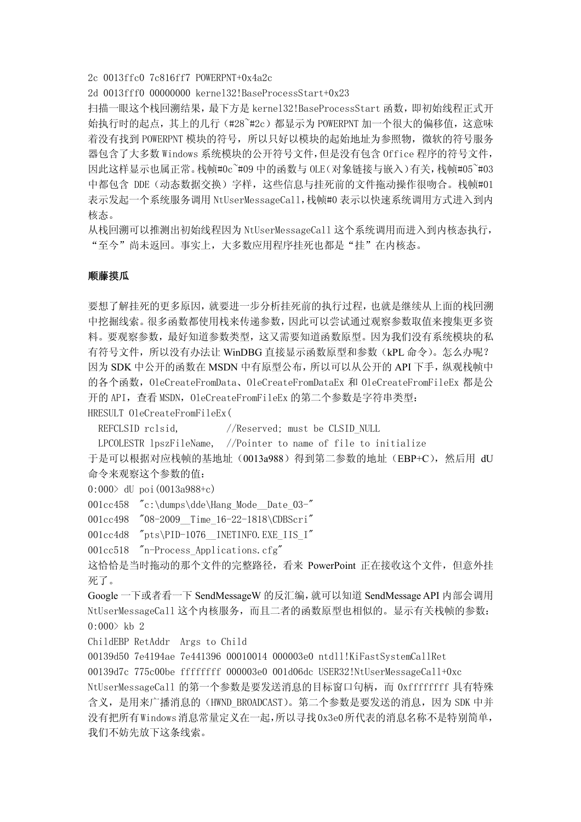2c 0013ffc0 7c816ff7 POWERPNT+0x4a2c

2d 0013fff0 00000000 kernel32!BaseProcessStart+0x23

扫描一眼这个栈回溯结果,最下方是 kernel32!BaseProcessStart 函数,即初始线程正式开 始执行时的起点,其上的几行(#28~#2c)都显示为 POWERPNT 加一个很大的偏移值,这意味 着没有找到 POWERPNT 模块的符号,所以只好以模块的起始地址为参照物,微软的符号服务 器包含了大多数 Windows 系统模块的公开符号文件,但是没有包含 Office 程序的符号文件, 因此这样显示也属正常。栈帧#0c~#09 中的函数与 OLE(对象链接与嵌入)有关,栈帧#05~#03 中都包含 DDE (动态数据交换) 字样, 这些信息与挂死前的文件拖动操作很吻合。栈帧#01 表示发起一个系统服务调用 NtUserMessageCall,栈帧#0 表示以快速系统调用方式进入到内 核态。

从栈回溯可以推测出初始线程因为 NtUserMessageCall 这个系统调用而进入到内核态执行, "至今"尚未返回。事实上,大多数应用程序挂死也都是"挂"在内核态。

#### 顺藤摸瓜

要想了解挂死的更多原因,就要进一步分析挂死前的执行过程,也就是继续从上面的栈回溯 中挖掘线索。很多函数都使用栈来传递参数,因此可以尝试通过观察参数取值来搜集更多资 料。要观察参数,最好知道参数类型,这又需要知道函数原型。因为我们没有系统模块的私 有符号文件,所以没有办法让 WinDBG 直接显示函数原型和参数(kPL 命令)。怎么办呢? 因为 SDK 中公开的函数在 MSDN 中有原型公布,所以可以从公开的 API 下手,纵观栈帧中 的各个函数,OleCreateFromData、OleCreateFromDataEx 和 OleCreateFromFileEx 都是公 开的 API, 查看 MSDN, OleCreateFromFileEx 的第二个参数是字符串类型: HRESULT OleCreateFromFileEx(

REFCLSID rclsid,  $//$ Reserved; must be CLSID NULL

LPCOLESTR lpszFileName, //Pointer to name of file to initialize

于是可以根据对应栈帧的基地址(0013a988)得到第二参数的地址(EBP+C),然后用 dU 命令来观察这个参数的值:

0:000> dU poi(0013a988+c)

001cc458 "c:\dumps\dde\Hang\_Mode\_Date\_03-"

001cc498 "08-2009 Time 16-22-1818\CDBScri"

001cc4d8 "pts\PID-1076 INETINFO.EXE\_IIS\_I"

001cc518 "n-Process Applications.cfg"

这恰恰是当时拖动的那个文件的完整路径,看来 PowerPoint 正在接收这个文件, 但意外挂 死了。

Google 一下或者看一下 SendMessageW 的反汇编,就可以知道 SendMessage API 内部会调用 NtUserMessageCall 这个内核服务,而且二者的函数原型也相似的。显示有关栈帧的参数:  $0:000$  kb 2

ChildEBP RetAddr Args to Child

00139d50 7e4194ae 7e441396 00010014 000003e0 ntdll!KiFastSystemCallRet

00139d7c 775c00be ffffffff 000003e0 001d06dc USER32!NtUserMessageCall+0xc NtUserMessageCall 的第一个参数是要发送消息的目标窗口句柄,而 0xffffffff 具有特殊 含义,是用来广播消息的(HWND\_BROADCAST)。第二个参数是要发送的消息,因为 SDK 中并 没有把所有Windows消息常量定义在一起,所以寻找0x3e0所代表的消息名称不是特别简单, 我们不妨先放下这条线索。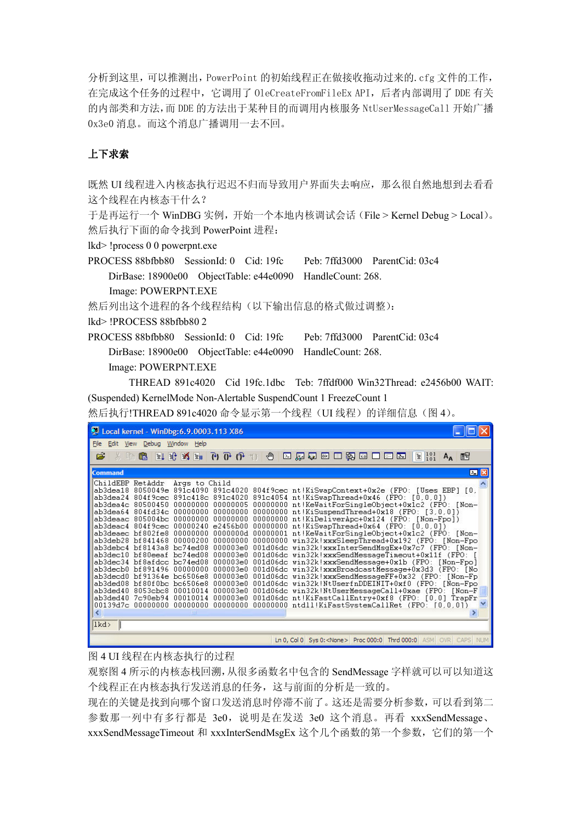分析到这里,可以推测出,PowerPoint 的初始线程正在做接收拖动过来的.cfg 文件的工作, 在完成这个任务的过程中,它调用了 OleCreateFromFileEx API,后者内部调用了 DDE 有关 的内部类和方法,而 DDE 的方法出于某种目的而调用内核服务 NtUserMessageCall 开始广播 0x3e0 消息。而这个消息广播调用一去不回。

# 上下求索

既然 UI 线程进入内核态执行迟迟不归而导致用户界面失去响应,那么很自然地想到去看看 这个线程在内核态干什么?

于是再运行一个 WinDBG 实例,开始一个本地内核调试会话(File > Kernel Debug > Local)。 然后执行下面的命令找到 PowerPoint 进程:

lkd> !process 0 0 powerpnt.exe

PROCESS 88bfbb80 SessionId: 0 Cid: 19fc Peb: 7ffd3000 ParentCid: 03c4 DirBase: 18900e00 ObjectTable: e44e0090 HandleCount: 268. Image: POWERPNT.EXE

然后列出这个进程的各个线程结构(以下输出信息的格式做过调整):

lkd> !PROCESS 88bfbb80 2

PROCESS 88bfbb80 SessionId: 0 Cid: 19fc Peb: 7ffd3000 ParentCid: 03c4 DirBase: 18900e00 ObjectTable: e44e0090 HandleCount: 268. Image: POWERPNT.EXE

 THREAD 891c4020 Cid 19fc.1dbc Teb: 7ffdf000 Win32Thread: e2456b00 WAIT: (Suspended) KernelMode Non-Alertable SuspendCount 1 FreezeCount 1

然后执行!THREAD 891c4020 命令显示第一个线程(UI 线程)的详细信息(图 4)。

| Local kernel - WinDbg: 6.9.0003.113 X86                                                                                                                                                                                                                                                                                                                                                                                                                                                                                                                                                                                                                                                                                                                                                                                                                                                                                                                                                                                                                                                                                                                                                                                                                                                                                                                                                                                                                                                                                                                                                                                                                 |    |  |  |  |  |  |
|---------------------------------------------------------------------------------------------------------------------------------------------------------------------------------------------------------------------------------------------------------------------------------------------------------------------------------------------------------------------------------------------------------------------------------------------------------------------------------------------------------------------------------------------------------------------------------------------------------------------------------------------------------------------------------------------------------------------------------------------------------------------------------------------------------------------------------------------------------------------------------------------------------------------------------------------------------------------------------------------------------------------------------------------------------------------------------------------------------------------------------------------------------------------------------------------------------------------------------------------------------------------------------------------------------------------------------------------------------------------------------------------------------------------------------------------------------------------------------------------------------------------------------------------------------------------------------------------------------------------------------------------------------|----|--|--|--|--|--|
| File Edit View Debug Window Help                                                                                                                                                                                                                                                                                                                                                                                                                                                                                                                                                                                                                                                                                                                                                                                                                                                                                                                                                                                                                                                                                                                                                                                                                                                                                                                                                                                                                                                                                                                                                                                                                        |    |  |  |  |  |  |
| EEDER BALGE DE DE OP OP ALLE<br>$\mathbb{E}$ $\begin{bmatrix} 1 & 0 & 1 \\ 1 & 0 & 1 \end{bmatrix}$<br>œ<br>※ 唯 食<br>$A_{\bf A}$                                                                                                                                                                                                                                                                                                                                                                                                                                                                                                                                                                                                                                                                                                                                                                                                                                                                                                                                                                                                                                                                                                                                                                                                                                                                                                                                                                                                                                                                                                                        | 图  |  |  |  |  |  |
| <b>Command</b>                                                                                                                                                                                                                                                                                                                                                                                                                                                                                                                                                                                                                                                                                                                                                                                                                                                                                                                                                                                                                                                                                                                                                                                                                                                                                                                                                                                                                                                                                                                                                                                                                                          | 四区 |  |  |  |  |  |
| ChildEBP RetAddr<br>Args to Child<br>ab3dea18 8050049e 891c4090 891c4020 804f9cec nt!KiSwapContext+0x2e (FPO: [Uses EBP] [0,<br>ab3dea24 804f9cec 891c418c 891c4020 891c4054 nt!KiSwapThread+0x46 (FPO: [0,0,0])<br>ab3dea4c 80500450 00000000 00000005 00000000 nt!KeWaitForSingleObject+0x1c2 (FPO: [Non-<br>ab3dea64 804fd34c 00000000 00000000 00000000 nt!KiSuspendThread+0x18 (FPO: [3,0,0])<br>ab3deaac 805004bc 00000000 00000000 00000000 nt!KiDeliverApc+0x124 (FPO: [Non-Fpo])<br>ab3deac4 804f9cec 00000240 e2456b00 00000000 nt!KiSwapThread+0x64 (FPO: [0,0,0])<br>ab3deaec bf802fe8 00000000 0000000d 00000001 nt!KeWaitForSingleObject+0x1c2 (FPO: [Non-<br>ab3deb28 bf841468 00000200 00000000 00000000 win32k!xxxSleepThread+0x192 (FPO: [Non-Fpo<br>ab3debc4 bf8143a8 bc74ed08 000003e0 001d06dc win32k!xxxInterSendMsgEx+0x7c7 (FPO: [Non-<br>ab3dec10 bf80eeaf bc74ed08 000003e0 001d06dc win32k!xxxSendMessageTimeout+0x11f (FPO: [<br>ab3dec34 bf8afdcc bc74ed08 000003e0 001d06dc win32k!xxxSendMessage+0x1b (FPO: [Non-Fpo]<br>ab3decb0 bf891496 00000000 000003e0 001d06dc win32k!xxxBroadcastMessage+0x3d3 (FPO: [No<br>ab3decd0 bf91364e bc6506e8 000003e0 001d06dc win32k!xxxSendMessageFF+0x32 (FPO: [Non-Fp<br>ab3ded08 bf80f0bc bc6506e8 000003e0 001d06dc win32k!NtUserfnDDEINIT+0xf0 (FPO: [Non-Fpo<br>ab3ded40 8053cbc8 00010014 000003e0 001d06dc win32k!NtUserMessageCall+0xae (FPO: [Non-F<br>ab3ded40 7c90eb94 00010014 000003e0 001d06dc nt!KiFastCallEntry+0xf8 (FPO: [0,0] TrapFr <br>00139d7c 00000000 00000000 00000000 00000000 ntdll!KiFastSystemCallRet (FPO: [0,0,0])<br>$\leq$<br><b>TITLE</b><br>lkd> |    |  |  |  |  |  |
| Ln 0, Col 0 Sys 0: <none> Proc 000:0 Thrd 000:0 ASM OVR CAPS NUM</none>                                                                                                                                                                                                                                                                                                                                                                                                                                                                                                                                                                                                                                                                                                                                                                                                                                                                                                                                                                                                                                                                                                                                                                                                                                                                                                                                                                                                                                                                                                                                                                                 |    |  |  |  |  |  |

图 4 UI 线程在内核态执行的过程

观察图 4 所示的内核态栈回溯,从很多函数名中包含的 SendMessage 字样就可以可以知道这 个线程正在内核态执行发送消息的任务,这与前面的分析是一致的。

现在的关键是找到向哪个窗口发送消息时停滞不前了。这还是需要分析参数,可以看到第二 参数那一列中有多行都是 3e0,说明是在发送 3e0 这个消息。再看 xxxSendMessage、 xxxSendMessageTimeout 和 xxxInterSendMsgEx 这个几个函数的第一个参数,它们的第一个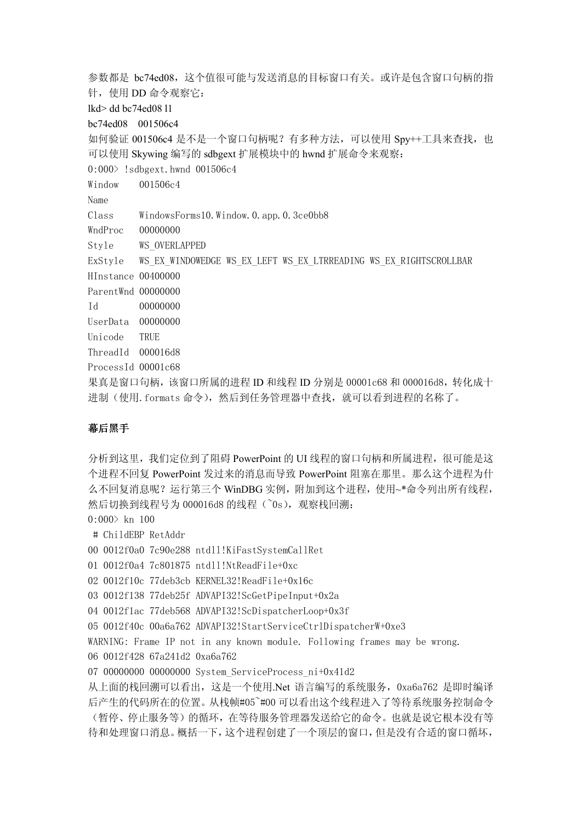参数都是 bc74ed08,这个值很可能与发送消息的目标窗口有关。或许是包含窗口句柄的指 针, 使用 DD 命令观察它: lkd> dd bc74ed08 l1 bc74ed08 001506c4 如何验证 001506c4 是不是一个窗口句柄呢? 有多种方法,可以使用 Spy++工具来查找, 也 可以使用 Skywing 编写的 sdbgext 扩展模块中的 hwnd 扩展命令来观察: 0:000> !sdbgext.hwnd 001506c4 Window 001506c4 Name Class WindowsForms10.Window.0.app.0.3ce0bb8 WndProc 00000000 Style WS\_OVERLAPPED ExStyle WS\_EX\_WINDOWEDGE WS\_EX\_LEFT WS\_EX\_LTRREADING WS\_EX\_RIGHTSCROLLBAR HInstance 00400000 ParentWnd 00000000 Id 00000000 UserData 00000000 Unicode TRUE ThreadId 000016d8 ProcessId 00001c68 果真是窗口句柄,该窗口所属的进程 ID 和线程 ID 分别是 00001c68 和 000016d8, 转化成十 进制(使用. formats 命令), 然后到任务管理器中查找, 就可以看到进程的名称了。

# 幕后黑手

分析到这里,我们定位到了阻碍 PowerPoint 的 UI 线程的窗口句柄和所属进程,很可能是这 个进程不回复 PowerPoint 发过来的消息而导致 PowerPoint 阻塞在那里。那么这个进程为什 么不回复消息呢?运行第三个 WinDBG 实例,附加到这个进程, 使用~\*命令列出所有线程, 然后切换到线程号为 000016d8 的线程(~0s), 观察栈回溯:

 $0:000$  kn 100

# ChildEBP RetAddr

00 0012f0a0 7c90e288 ntdll!KiFastSystemCallRet

```
01 0012f0a4 7c801875 ntdll!NtReadFile+0xc
```

```
02 0012f10c 77deb3cb KERNEL32!ReadFile+0x16c
```
03 0012f138 77deb25f ADVAPI32!ScGetPipeInput+0x2a

```
04 0012f1ac 77deb568 ADVAPI32!ScDispatcherLoop+0x3f
```
05 0012f40c 00a6a762 ADVAPI32!StartServiceCtrlDispatcherW+0xe3

WARNING: Frame IP not in any known module. Following frames may be wrong.

06 0012f428 67a241d2 0xa6a762

07 00000000 00000000 System ServiceProcess ni+0x41d2

从上面的栈回溯可以看出,这是一个使用.Net 语言编写的系统服务, 0xa6a762 是即时编译 后产生的代码所在的位置。从栈帧#05~#00 可以看出这个线程进入了等待系统服务控制命令 (暂停、停止服务等)的循环,在等待服务管理器发送给它的命令。也就是说它根本没有等 待和处理窗口消息。概括一下,这个进程创建了一个顶层的窗口,但是没有合适的窗口循坏,